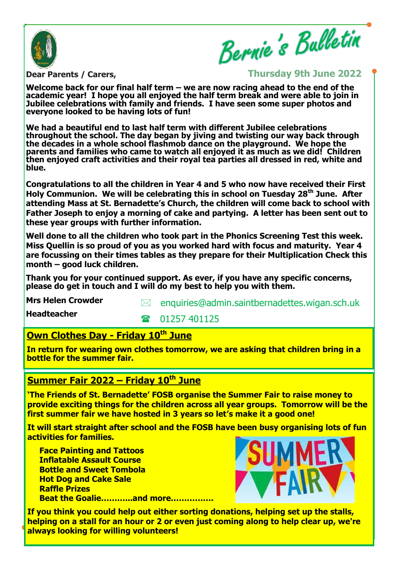

Bernie's Bulletin

**Dear Parents / Carers,** 

**Thursday 9th June 2022**

**Welcome back for our final half term – we are now racing ahead to the end of the academic year! I hope you all enjoyed the half term break and were able to join in Jubilee celebrations with family and friends. I have seen some super photos and everyone looked to be having lots of fun!**

**We had a beautiful end to last half term with different Jubilee celebrations throughout the school. The day began by jiving and twisting our way back through the decades in a whole school flashmob dance on the playground. We hope the parents and families who came to watch all enjoyed it as much as we did! Children then enjoyed craft activities and their royal tea parties all dressed in red, white and blue.**

**Congratulations to all the children in Year 4 and 5 who now have received their First Holy Communion. We will be celebrating this in school on Tuesday 28th June. After attending Mass at St. Bernadette's Church, the children will come back to school with Father Joseph to enjoy a morning of cake and partying. A letter has been sent out to these year groups with further information.**

**Well done to all the children who took part in the Phonics Screening Test this week. Miss Quellin is so proud of you as you worked hard with focus and maturity. Year 4 are focussing on their times tables as they prepare for their Multiplication Check this month – good luck children.**

**Thank you for your continued support. As ever, if you have any specific concerns, please do get in touch and I will do my best to help you with them.** 

**Mrs Helen Crowder**

**Headteacher**

 $\boxtimes$  enquiries@admin.saintbernadettes.wigan.sch.uk

 $\bullet$  01257 401125

# **Own Clothes Day - Friday 10th June**

**In return for wearing own clothes tomorrow, we are asking that children bring in a bottle for the summer fair.**

# **Summer Fair 2022 – Friday 10th June**

**'The Friends of St. Bernadette' FOSB organise the Summer Fair to raise money to provide exciting things for the children across all year groups. Tomorrow will be the first summer fair we have hosted in 3 years so let's make it a good one!** 

 **It will start straight after school and the FOSB have been busy organising lots of fun activities for families.** 

**Face Painting and Tattoos Inflatable Assault Course Bottle and Sweet Tombola Hot Dog and Cake Sale Raffle Prizes Beat the Goalie………...and more…………….**



**If you think you could help out either sorting donations, helping set up the stalls, helping on a stall for an hour or 2 or even just coming along to help clear up, we're always looking for willing volunteers!**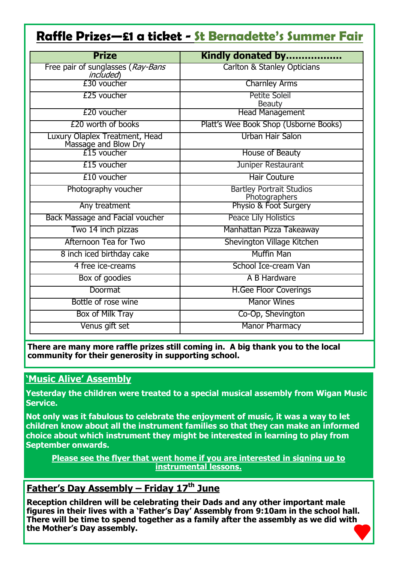# **Raffle Prizes—£1 a ticket - St Bernadette's Summer Fair**

| <b>Prize</b>                                           | Kindly donated by                                |
|--------------------------------------------------------|--------------------------------------------------|
| Free pair of sunglasses (Ray-Bans<br><i>included</i> ) | <b>Carlton &amp; Stanley Opticians</b>           |
| £30 voucher                                            | <b>Charnley Arms</b>                             |
| £25 voucher                                            | <b>Petite Soleil</b><br><b>Beauty</b>            |
| £20 voucher                                            | <b>Head Management</b>                           |
| £20 worth of books                                     | Platt's Wee Book Shop (Usborne Books)            |
| Luxury Olaplex Treatment, Head<br>Massage and Blow Dry | Urban Hair Salon                                 |
| £15 voucher                                            | House of Beauty                                  |
| £15 voucher                                            | Juniper Restaurant                               |
| £10 voucher                                            | <b>Hair Couture</b>                              |
| Photography voucher                                    | <b>Bartley Portrait Studios</b><br>Photographers |
| Any treatment                                          | Physio & Foot Surgery                            |
| Back Massage and Facial voucher                        | Peace Lily Holistics                             |
| Two 14 inch pizzas                                     | Manhattan Pizza Takeaway                         |
| Afternoon Tea for Two                                  | Shevington Village Kitchen                       |
| 8 inch iced birthday cake                              | <b>Muffin Man</b>                                |
| 4 free ice-creams                                      | School Ice-cream Van                             |
| Box of goodies                                         | A B Hardware                                     |
| Doormat                                                | <b>H.Gee Floor Coverings</b>                     |
| Bottle of rose wine                                    | <b>Manor Wines</b>                               |
| Box of Milk Tray                                       | Co-Op, Shevington                                |
| Venus gift set                                         | <b>Manor Pharmacy</b>                            |

**There are many more raffle prizes still coming in. A big thank you to the local community for their generosity in supporting school.**

#### **'Music Alive' Assembly**

**Yesterday the children were treated to a special musical assembly from Wigan Music Service.** 

**Not only was it fabulous to celebrate the enjoyment of music, it was a way to let children know about all the instrument families so that they can make an informed choice about which instrument they might be interested in learning to play from September onwards.** 

**Please see the flyer that went home if you are interested in signing up to instrumental lessons.** 

## **Father's Day Assembly – Friday 17th June**

**Reception children will be celebrating their Dads and any other important male figures in their lives with a 'Father's Day' Assembly from 9:10am in the school hall. There will be time to spend together as a family after the assembly as we did with the Mother's Day assembly.**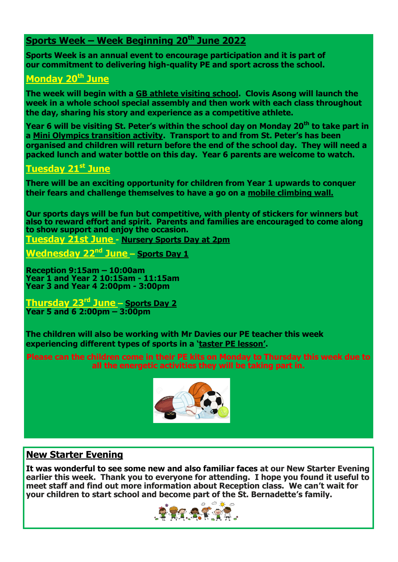## **Sports Week – Week Beginning 20th June 2022**

**Sports Week is an annual event to encourage participation and it is part of our commitment to delivering high-quality PE and sport across the school.**

## **Monday 20th June**

**The week will begin with a GB athlete visiting school. Clovis Asong will launch the week in a whole school special assembly and then work with each class throughout the day, sharing his story and experience as a competitive athlete.**

**Year 6 will be visiting St. Peter's within the school day on Monday 20th to take part in a Mini Olympics transition activity. Transport to and from St. Peter's has been organised and children will return before the end of the school day. They will need a packed lunch and water bottle on this day. Year 6 parents are welcome to watch.**

#### **Tuesday 21st June**

**There will be an exciting opportunity for children from Year 1 upwards to conquer their fears and challenge themselves to have a go on a mobile climbing wall.**

**Our sports days will be fun but competitive, with plenty of stickers for winners but also to reward effort and spirit. Parents and families are encouraged to come along to show support and enjoy the occasion. Tuesday 21st June - Nursery Sports Day at 2pm**

**Wednesday 22nd June – Sports Day 1**

**Reception 9:15am – 10:00am Year 1 and Year 2 10:15am - 11:15am Year 3 and Year 4 2:00pm - 3:00pm** 

**Thursday 23rd June – Sports Day 2 Year 5 and 6 2:00pm – 3:00pm** 

**The children will also be working with Mr Davies our PE teacher this week experiencing different types of sports in a 'taster PE lesson'.**

**Please can the children come in their PE kits on Monday to Thursday this week due to all the energetic activities they will be taking part in.**



### **New Starter Evening**

**It was wonderful to see some new and also familiar faces at our New Starter Evening earlier this week. Thank you to everyone for attending. I hope you found it useful to meet staff and find out more information about Reception class. We can't wait for your children to start school and become part of the St. Bernadette's family.**